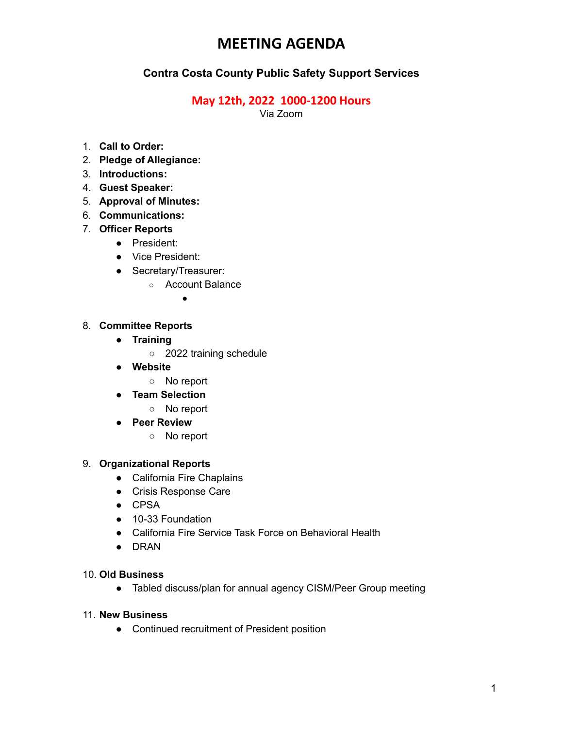## **MEETING AGENDA**

### **Contra Costa County Public Safety Support Services**

#### **May 12th, 2022 1000-1200 Hours**

Via Zoom

- 1. **Call to Order:**
- 2. **Pledge of Allegiance:**
- 3. **Introductions:**
- 4. **Guest Speaker:**
- 5. **Approval of Minutes:**
- 6. **Communications:**
- 7. **Officer Reports**
	- **●** President:
	- **●** Vice President:
	- **●** Secretary/Treasurer:
		- Account Balance

●

#### 8. **Committee Reports**

- **● Training**
	- 2022 training schedule
- **● Website**
	- No report
- **● Team Selection**
	- **○** No report
- **● Peer Review**
	- No report

#### 9. **Organizational Reports**

- **●** California Fire Chaplains
- **●** Crisis Response Care
- **●** CPSA
- **●** 10-33 Foundation
- **●** California Fire Service Task Force on Behavioral Health
- **●** DRAN

#### 10. **Old Business**

**●** Tabled discuss/plan for annual agency CISM/Peer Group meeting

#### 11. **New Business**

● Continued recruitment of President position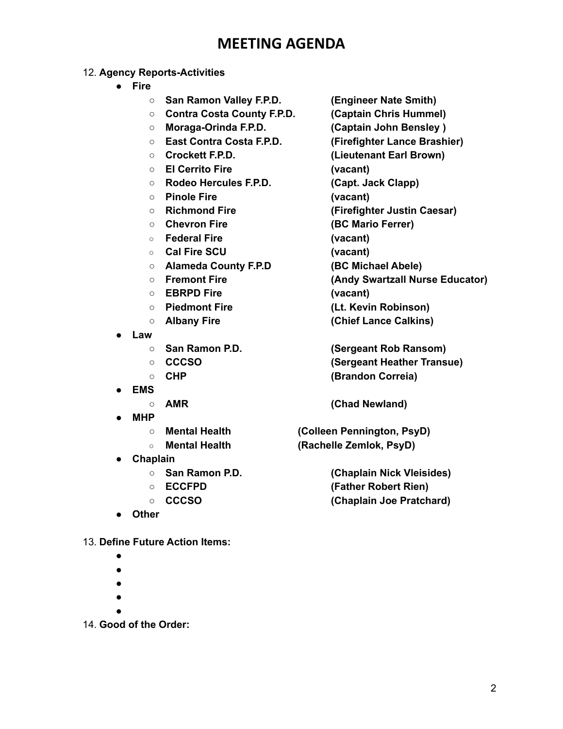## **MEETING AGENDA**

#### 12. **Agency Reports-Activities**

- **● Fire**
	- **San Ramon Valley F.P.D. (Engineer Nate Smith)**
	- **Contra Costa County F.P.D. (Captain Chris Hummel)**
	- **Moraga-Orinda F.P.D. (Captain John Bensley )**
	- **East Contra Costa F.P.D. (Firefighter Lance Brashier)**
	-
	- **El Cerrito Fire (vacant)**
	- **Rodeo Hercules F.P.D. (Capt. Jack Clapp)**
	- **Pinole Fire (vacant)**
	-
	- **○ Chevron Fire (BC Mario Ferrer)**
	- **○ Federal Fire (vacant)**
	- **○ Cal Fire SCU (vacant)**
	- **Alameda County F.P.D (BC Michael Abele)**
	-
	- **○ EBRPD Fire (vacant)**
	-
	-
- **● Law**
	-
	-
	-
- **● EMS**
	-
- **● MHP**
	-
	-
- **● Chaplain**
	-
	-
	-
- **● Other**

13. **Define Future Action Items:**

- **●**
- **●**
- **●**
- **●**
- **●**

14. **Good of the Order:**

- 
- 

○ **Crockett F.P.D. (Lieutenant Earl Brown)**

- 
- 
- **Richmond Fire (Firefighter Justin Caesar)**
	-
	- -

- **○ Fremont Fire (Andy Swartzall Nurse Educator)**
	-
- **Piedmont Fire (Lt. Kevin Robinson)**
- **○ Albany Fire (Chief Lance Calkins)**

○ **San Ramon P.D. (Sergeant Rob Ransom)** ○ **CCCSO (Sergeant Heather Transue)** ○ **CHP (Brandon Correia)**

**○ AMR (Chad Newland)**

**○ Mental Health (Colleen Pennington, PsyD) ○ Mental Health (Rachelle Zemlok, PsyD)**

**○ San Ramon P.D. (Chaplain Nick Vleisides)** ○ **ECCFPD (Father Robert Rien) ○ CCCSO (Chaplain Joe Pratchard)**